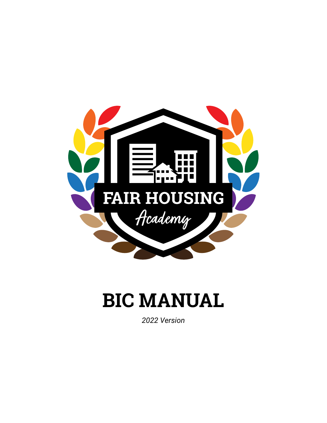

# **BIC MANUAL**

*2022 Version*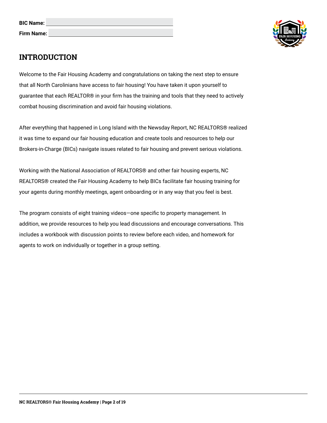| <b>BIC Name:</b> |  |
|------------------|--|
| Firm Name:       |  |



# **INTRODUCTION**

Welcome to the Fair Housing Academy and congratulations on taking the next step to ensure that all North Carolinians have access to fair housing! You have taken it upon yourself to guarantee that each REALTOR® in your firm has the training and tools that they need to actively combat housing discrimination and avoid fair housing violations.

After everything that happened in Long Island with the Newsday Report, NC REALTORS® realized it was time to expand our fair housing education and create tools and resources to help our Brokers-in-Charge (BICs) navigate issues related to fair housing and prevent serious violations.

Working with the National Association of REALTORS® and other fair housing experts, NC REALTORS® created the Fair Housing Academy to help BICs facilitate fair housing training for your agents during monthly meetings, agent onboarding or in any way that you feel is best.

The program consists of eight training videos—one specific to property management. In addition, we provide resources to help you lead discussions and encourage conversations. This includes a workbook with discussion points to review before each video, and homework for agents to work on individually or together in a group setting.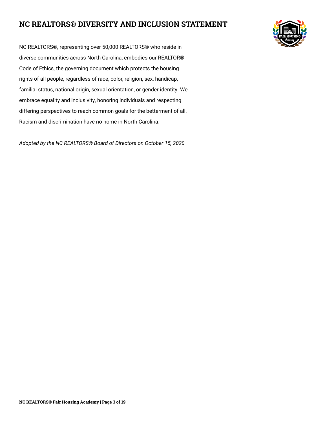# **NC REALTORS® DIVERSITY AND INCLUSION STATEMENT**



NC REALTORS®, representing over 50,000 REALTORS® who reside in diverse communities across North Carolina, embodies our REALTOR® Code of Ethics, the governing document which protects the housing rights of all people, regardless of race, color, religion, sex, handicap, familial status, national origin, sexual orientation, or gender identity. We embrace equality and inclusivity, honoring individuals and respecting differing perspectives to reach common goals for the betterment of all. Racism and discrimination have no home in North Carolina.

*Adopted by the NC REALTORS® Board of Directors on October 15, 2020*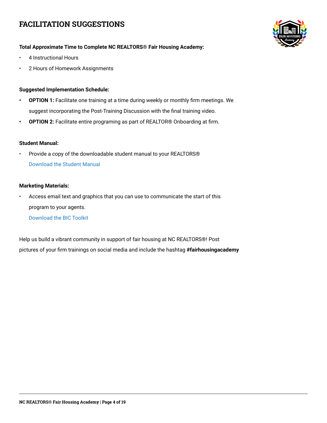# **FACILITATION SUGGESTIONS**



## **Total Approximate Time to Complete NC REALTORS® Fair Housing Academy:**

- 4 Instructional Hours
- 2 Hours of Homework Assignments

## **Suggested Implementation Schedule:**

- **• OPTION 1:** Facilitate one training at a time during weekly or monthly firm meetings. We suggest incorporating the Post-Training Discussion with the final training video.
- **• OPTION 2:** Facilitate entire programing as part of REALTOR® Onboarding at firm.

#### **Student Manual:**

• Provide a copy of the downloadable student manual to your REALTORS® [Download the Student Manual](https://drive.google.com/file/d/1MHhIjhqen1RcI732QR_mc7OXPZwL0mhO/view?usp=sharing)

#### **Marketing Materials:**

• Access email text and graphics that you can use to communicate the start of this program to your agents.

[Download the BIC Toolkit](https://drive.google.com/drive/folders/1685MoLhbR6C42r05IX9xuP_kcUPChFid?usp=sharing)

Help us build a vibrant community in support of fair housing at NC REALTORS®! Post pictures of your firm trainings on social media and include the hashtag **#fairhousingacademy**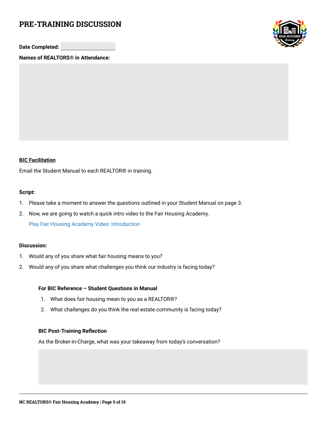# **PRE-TRAINING DISCUSSION**

**Date Completed:**

**Names of REALTORS® in Attendance:**



## **BIC Facilitation**

Email the Student Manual to each REALTOR® in training.

#### **Script:**

- 1. Please take a moment to answer the questions outlined in your Student Manual on page 3.
- 2. Now, we are going to watch a quick intro video to the Fair Housing Academy.

[Play Fair Housing Academy Video: Introduction](https://youtu.be/qnnk_BabG1A)

#### **Discussion:**

- 1. Would any of you share what fair housing means to you?
- 2. Would any of you share what challenges you think our industry is facing today?

#### **For BIC Reference – Student Questions in Manual**

- 1. What does fair housing mean to you as a REALTOR®?
- 2. What challenges do you think the real estate community is facing today?

#### **BIC Post-Training Reflection**

As the Broker-in-Charge, what was your takeaway from today's conversation?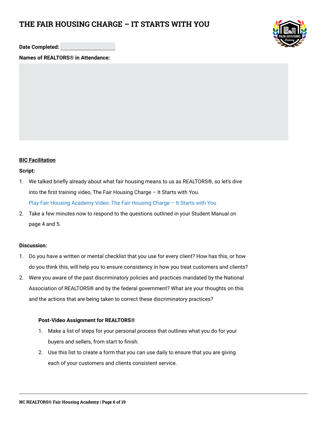# **THE FAIR HOUSING CHARGE – IT STARTS WITH YOU**



**Date Completed:**

**Names of REALTORS® in Attendance:**

## **BIC Facilitation**

#### **Script:**

- 1. We talked briefly already about what fair housing means to us as REALTORS®, so let's dive into the first training video, The Fair Housing Charge – It Starts with You. [Play Fair Housing Academy Video: The Fair Housing Charge – It Starts with You](https://youtu.be/j2XojhHvPy4)
- 2. Take a few minutes now to respond to the questions outlined in your Student Manual on page 4 and 5.

#### **Discussion:**

- 1. Do you have a written or mental checklist that you use for every client? How has this, or how do you think this, will help you to ensure consistency in how you treat customers and clients?
- 2. Were you aware of the past discriminatory policies and practices mandated by the National Association of REALTORS® and by the federal government? What are your thoughts on this and the actions that are being taken to correct these discriminatory practices?

### **Post-Video Assignment for REALTORS®**

- 1. Make a list of steps for your personal process that outlines what you do for your buyers and sellers, from start to finish.
- 2. Use this list to create a form that you can use daily to ensure that you are giving each of your customers and clients consistent service.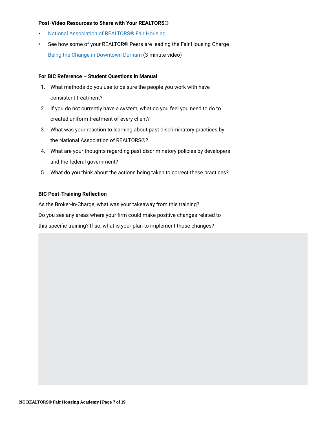#### **Post-Video Resources to Share with Your REALTORS®**

- [National Association of REALTORS® Fair Housing](http://www.nar.realtor/fair-housing )
- See how some of your REALTOR® Peers are leading the Fair Housing Charge [Being the Change in Downtown Durham](http://www.nar.realtor/fair-housing/being-the-change-in-downtown-durham) (3-minute video)

#### **For BIC Reference – Student Questions in Manual**

- 1. What methods do you use to be sure the people you work with have consistent treatment?
- 2. If you do not currently have a system, what do you feel you need to do to created uniform treatment of every client?
- 3. What was your reaction to learning about past discriminatory practices by the National Association of REALTORS®?
- 4. What are your thoughts regarding past discriminatory policies by developers and the federal government?
- 5. What do you think about the actions being taken to correct these practices?

#### **BIC Post-Training Reflection**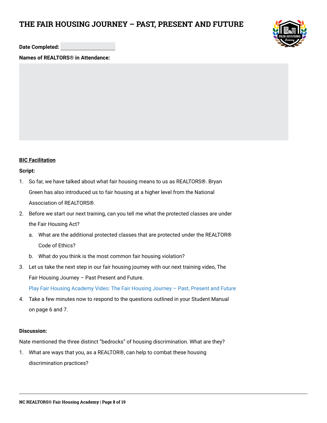## **THE FAIR HOUSING JOURNEY – PAST, PRESENT AND FUTURE**



**Date Completed:**

**Names of REALTORS® in Attendance:**

## **BIC Facilitation**

#### **Script:**

- 1. So far, we have talked about what fair housing means to us as REALTORS®. Bryan Green has also introduced us to fair housing at a higher level from the National Association of REALTORS®.
- 2. Before we start our next training, can you tell me what the protected classes are under the Fair Housing Act?
	- a. What are the additional protected classes that are protected under the REALTOR® Code of Ethics?
	- b. What do you think is the most common fair housing violation?
- 3. Let us take the next step in our fair housing journey with our next training video, The Fair Housing Journey – Past Present and Future.

[Play Fair Housing Academy Video: The Fair Housing Journey – Past, Present and Future](https://youtu.be/ODP6RxRox80) 

4. Take a few minutes now to respond to the questions outlined in your Student Manual on page 6 and 7.

#### **Discussion:**

Nate mentioned the three distinct "bedrocks" of housing discrimination. What are they?

1. What are ways that you, as a REALTOR®, can help to combat these housing discrimination practices?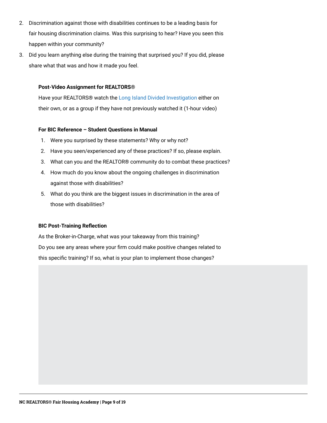- 2. Discrimination against those with disabilities continues to be a leading basis for fair housing discrimination claims. Was this surprising to hear? Have you seen this happen within your community?
- 3. Did you learn anything else during the training that surprised you? If you did, please share what that was and how it made you feel.

### **Post-Video Assignment for REALTORS®**

Have your REALTORS® watch the [Long Island Divided Investigation](http://projects.newsday.com/long-island/real-estate-agents-investigation) either on their own, or as a group if they have not previously watched it (1-hour video)

## **For BIC Reference – Student Questions in Manual**

- 1. Were you surprised by these statements? Why or why not?
- 2. Have you seen/experienced any of these practices? If so, please explain.
- 3. What can you and the REALTOR® community do to combat these practices?
- 4. How much do you know about the ongoing challenges in discrimination against those with disabilities?
- 5. What do you think are the biggest issues in discrimination in the area of those with disabilities?

### **BIC Post-Training Reflection**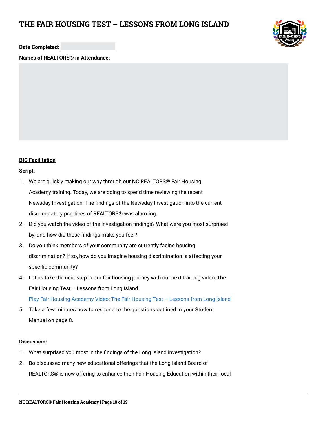# **THE FAIR HOUSING TEST – LESSONS FROM LONG ISLAND**



**Date Completed:**

**Names of REALTORS® in Attendance:**

## **BIC Facilitation**

#### **Script:**

- 1. We are quickly making our way through our NC REALTORS® Fair Housing Academy training. Today, we are going to spend time reviewing the recent Newsday Investigation. The findings of the Newsday Investigation into the current discriminatory practices of REALTORS® was alarming.
- 2. Did you watch the video of the investigation findings? What were you most surprised by, and how did these findings make you feel?
- 3. Do you think members of your community are currently facing housing discrimination? If so, how do you imagine housing discrimination is affecting your specific community?
- 4. Let us take the next step in our fair housing journey with our next training video, The Fair Housing Test – Lessons from Long Island. [Play Fair Housing Academy Video: The Fair Housing Test – Lessons from Long Island](https://youtu.be/zmzvJfOxDl4)
- 5. Take a few minutes now to respond to the questions outlined in your Student Manual on page 8.

#### **Discussion:**

- 1. What surprised you most in the findings of the Long Island investigation?
- 2. Bo discussed many new educational offerings that the Long Island Board of REALTORS® is now offering to enhance their Fair Housing Education within their local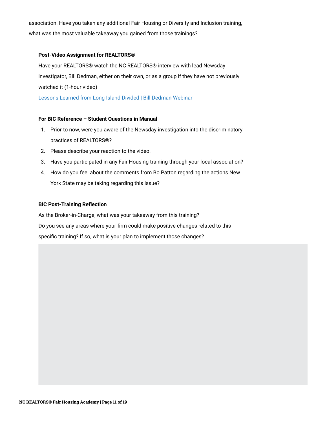association. Have you taken any additional Fair Housing or Diversity and Inclusion training, what was the most valuable takeaway you gained from those trainings?

#### **Post-Video Assignment for REALTORS®**

Have your REALTORS® watch the NC REALTORS® interview with lead Newsday investigator, Bill Dedman, either on their own, or as a group if they have not previously watched it (1-hour video)

[Lessons Learned from Long Island Divided | Bill Dedman Webinar](http://www.youtube.com/watch?v=h5t2JAac39Y)

### **For BIC Reference – Student Questions in Manual**

- 1. Prior to now, were you aware of the Newsday investigation into the discriminatory practices of REALTORS®?
- 2. Please describe your reaction to the video.
- 3. Have you participated in any Fair Housing training through your local association?
- 4. How do you feel about the comments from Bo Patton regarding the actions New York State may be taking regarding this issue?

#### **BIC Post-Training Reflection**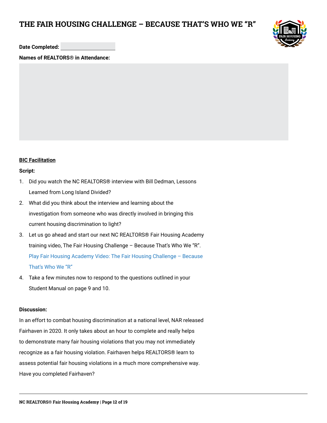# **THE FAIR HOUSING CHALLENGE – BECAUSE THAT'S WHO WE "R"**



**Date Completed:**

**Names of REALTORS® in Attendance:**

## **BIC Facilitation**

#### **Script:**

- 1. Did you watch the NC REALTORS® interview with Bill Dedman, Lessons Learned from Long Island Divided?
- 2. What did you think about the interview and learning about the investigation from someone who was directly involved in bringing this current housing discrimination to light?
- 3. Let us go ahead and start our next NC REALTORS® Fair Housing Academy training video, The Fair Housing Challenge – Because That's Who We "R". [Play Fair Housing Academy Video: The Fair Housing Challenge – Because](https://youtu.be/koQp3lTWNjI)  [That's Who We "R"](https://youtu.be/koQp3lTWNjI)
- 4. Take a few minutes now to respond to the questions outlined in your Student Manual on page 9 and 10.

## **Discussion:**

In an effort to combat housing discrimination at a national level, NAR released Fairhaven in 2020. It only takes about an hour to complete and really helps to demonstrate many fair housing violations that you may not immediately recognize as a fair housing violation. Fairhaven helps REALTORS® learn to assess potential fair housing violations in a much more comprehensive way. Have you completed Fairhaven?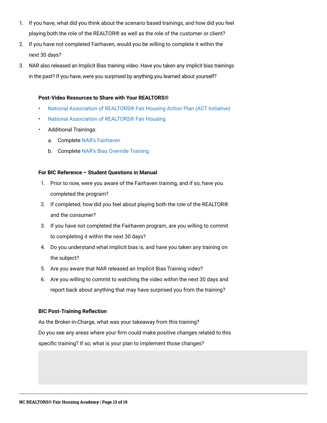- 1. If you have, what did you think about the scenario based trainings, and how did you feel playing both the role of the REALTOR® as well as the role of the customer or client?
- 2. If you have not completed Fairhaven, would you be willing to complete it within the next 30 days?
- 3. NAR also released an Implicit Bias training video. Have you taken any implicit bias trainings in the past? If you have, were you surprised by anything you learned about yourself?

#### **Post-Video Resources to Share with Your REALTORS®**

- [National Association of REALTORS® Fair Housing Action Plan \(ACT Initiative\)](https://www.nar.realtor/fair-housing/nar-fair-housing-action-plan)
- [National Association of REALTORS® Fair Housing](http://www.nar.realtor/fair-housing)
- Additional Trainings:
	- a. Complete [NAR's Fairhaven](http://www.nar.realtor/fair-housing/fairhaven )
	- b. Complete [NAR's Bias Override Training](http://www.nar.realtor/videos/bias-override-overcoming-barriers-to-fair-housing%23rtrn2021)

### **For BIC Reference – Student Questions in Manual**

- 1. Prior to now, were you aware of the Fairhaven training, and if so, have you completed the program?
- 2. If completed, how did you feel about playing both the role of the REALTOR® and the consumer?
- 3. If you have not completed the Fairhaven program, are you willing to commit to completing it within the next 30 days?
- 4. Do you understand what implicit bias is, and have you taken any training on the subject?
- 5. Are you aware that NAR released an Implicit Bias Training video?
- 6. Are you willing to commit to watching the video within the next 30 days and report back about anything that may have surprised you from the training?

### **BIC Post-Training Reflection**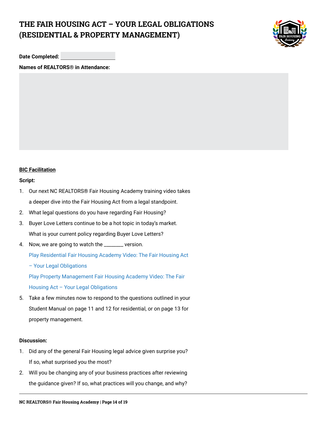# **THE FAIR HOUSING ACT – YOUR LEGAL OBLIGATIONS (RESIDENTIAL & PROPERTY MANAGEMENT)**



**Date Completed:**

**Names of REALTORS® in Attendance:**

### **BIC Facilitation**

#### **Script:**

- 1. Our next NC REALTORS® Fair Housing Academy training video takes a deeper dive into the Fair Housing Act from a legal standpoint.
- 2. What legal questions do you have regarding Fair Housing?
- 3. Buyer Love Letters continue to be a hot topic in today's market. What is your current policy regarding Buyer Love Letters?
- 4. Now, we are going to watch the \_\_\_\_\_\_\_ version.

[Play Residential Fair Housing Academy Video: The Fair Housing Act](https://youtu.be/x2fzn-WIZRc) 

[– Your Legal Obligations](https://youtu.be/x2fzn-WIZRc)

[Play Property Management Fair Housing Academy Video: The Fair](https://youtu.be/fxIgkmFpzOE)  [Housing Act – Your Legal Obligations](https://youtu.be/fxIgkmFpzOE)

5. Take a few minutes now to respond to the questions outlined in your Student Manual on page 11 and 12 for residential, or on page 13 for property management.

#### **Discussion:**

- 1. Did any of the general Fair Housing legal advice given surprise you? If so, what surprised you the most?
- 2. Will you be changing any of your business practices after reviewing the guidance given? If so, what practices will you change, and why?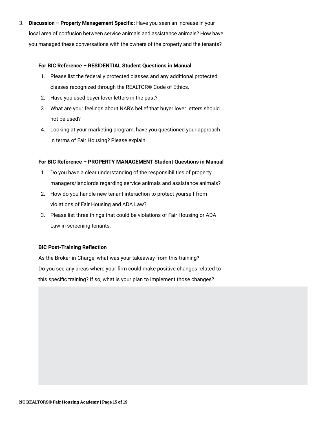3. **Discussion – Property Management Specific:** Have you seen an increase in your local area of confusion between service animals and assistance animals? How have you managed these conversations with the owners of the property and the tenants?

#### **For BIC Reference – RESIDENTIAL Student Questions in Manual**

- 1. Please list the federally protected classes and any additional protected classes recognized through the REALTOR® Code of Ethics.
- 2. Have you used buyer lover letters in the past?
- 3. What are your feelings about NAR's belief that buyer lover letters should not be used?
- 4. Looking at your marketing program, have you questioned your approach in terms of Fair Housing? Please explain.

## **For BIC Reference – PROPERTY MANAGEMENT Student Questions in Manual**

- 1. Do you have a clear understanding of the responsibilities of property managers/landlords regarding service animals and assistance animals?
- 2. How do you handle new tenant interaction to protect yourself from violations of Fair Housing and ADA Law?
- 3. Please list three things that could be violations of Fair Housing or ADA Law in screening tenants.

### **BIC Post-Training Reflection**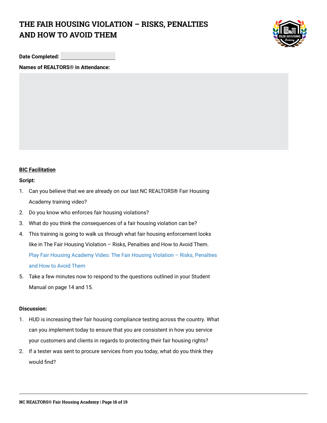# **THE FAIR HOUSING VIOLATION – RISKS, PENALTIES AND HOW TO AVOID THEM**



**Date Completed:**

**Names of REALTORS® in Attendance:**

## **BIC Facilitation**

#### **Script:**

- 1. Can you believe that we are already on our last NC REALTORS® Fair Housing Academy training video?
- 2. Do you know who enforces fair housing violations?
- 3. What do you think the consequences of a fair housing violation can be?
- 4. This training is going to walk us through what fair housing enforcement looks like in The Fair Housing Violation – Risks, Penalties and How to Avoid Them. [Play Fair Housing Academy Video: The Fair Housing Violation – Risks, Penalties](https://youtu.be/K8_ewNKH9rY)  [and How to Avoid Them](https://youtu.be/K8_ewNKH9rY)
- 5. Take a few minutes now to respond to the questions outlined in your Student Manual on page 14 and 15.

#### **Discussion:**

- 1. HUD is increasing their fair housing compliance testing across the country. What can you implement today to ensure that you are consistent in how you service your customers and clients in regards to protecting their fair housing rights?
- 2. If a tester was sent to procure services from you today, what do you think they would find?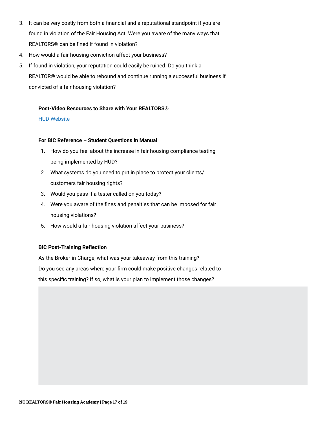- 3. It can be very costly from both a financial and a reputational standpoint if you are found in violation of the Fair Housing Act. Were you aware of the many ways that REALTORS® can be fined if found in violation?
- 4. How would a fair housing conviction affect your business?
- 5. If found in violation, your reputation could easily be ruined. Do you think a REALTOR® would be able to rebound and continue running a successful business if convicted of a fair housing violation?

#### **Post-Video Resources to Share with Your REALTORS®**

### [HUD Website](http://www.hud.gov)

#### **For BIC Reference – Student Questions in Manual**

- 1. How do you feel about the increase in fair housing compliance testing being implemented by HUD?
- 2. What systems do you need to put in place to protect your clients/ customers fair housing rights?
- 3. Would you pass if a tester called on you today?
- 4. Were you aware of the fines and penalties that can be imposed for fair housing violations?
- 5. How would a fair housing violation affect your business?

### **BIC Post-Training Reflection**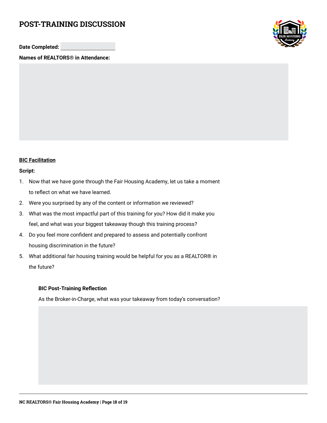# **POST-TRAINING DISCUSSION**

**Date Completed:**

**Names of REALTORS® in Attendance:**



## **BIC Facilitation**

#### **Script:**

- 1. Now that we have gone through the Fair Housing Academy, let us take a moment to reflect on what we have learned.
- 2. Were you surprised by any of the content or information we reviewed?
- 3. What was the most impactful part of this training for you? How did it make you feel, and what was your biggest takeaway though this training process?
- 4. Do you feel more confident and prepared to assess and potentially confront housing discrimination in the future?
- 5. What additional fair housing training would be helpful for you as a REALTOR® in the future?

### **BIC Post-Training Reflection**

As the Broker-in-Charge, what was your takeaway from today's conversation?